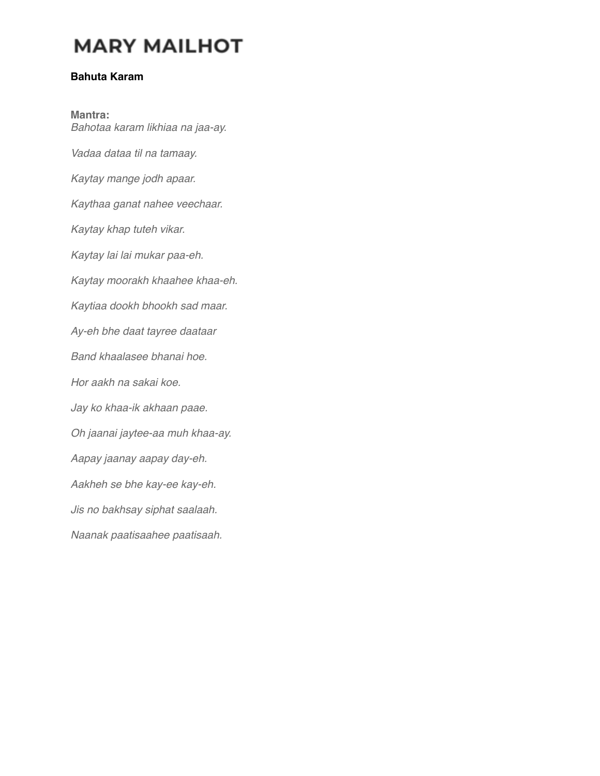# **MARY MAILHOT**

### **Bahuta Karam**

**Mantra:** *Bahotaa karam likhiaa na jaa-ay. Vadaa dataa til na tamaay. Kaytay mange jodh apaar. Kaythaa ganat nahee veechaar. Kaytay khap tuteh vikar. Kaytay lai lai mukar paa-eh. Kaytay moorakh khaahee khaa-eh. Kaytiaa dookh bhookh sad maar. Ay-eh bhe daat tayree daataar Band khaalasee bhanai hoe. Hor aakh na sakai koe. Jay ko khaa-ik akhaan paae. Oh jaanai jaytee-aa muh khaa-ay. Aapay jaanay aapay day-eh. Aakheh se bhe kay-ee kay-eh. Jis no bakhsay siphat saalaah. Naanak paatisaahee paatisaah.*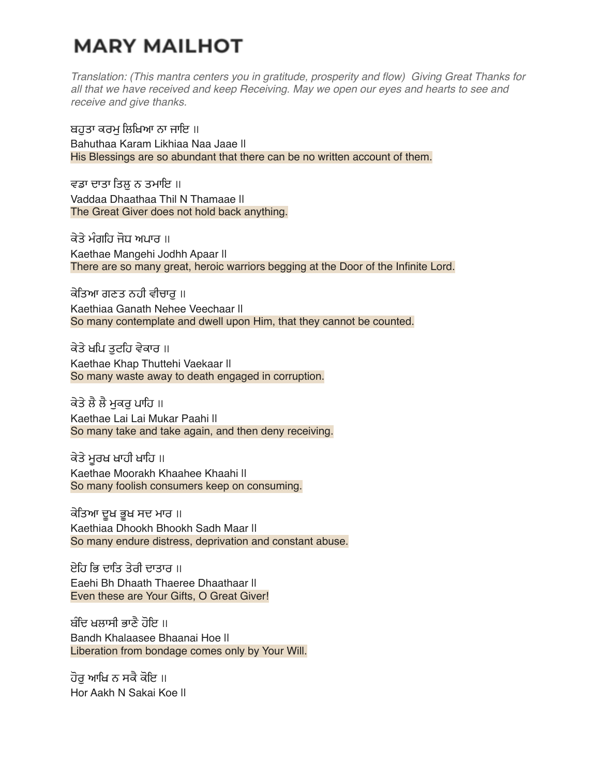# **MARY MAILHOT**

*Translation: (This mantra centers you in gratitude, prosperity and flow) Giving Great Thanks for all that we have received and keep Receiving. May we open our eyes and hearts to see and receive and give thanks.*

ਬਹਤਾ ਕਰਮ ਲਿਖਿਆ ਨਾ ਜਾਇ ॥ Bahuthaa Karam Likhiaa Naa Jaae || His Blessings are so abundant that there can be no written account of them.

ਵਡਾ ਦਾਤਾ ਤਿਲ ਨ ਤਮਾਇ ॥ Vaddaa Dhaathaa Thil N Thamaae || The Great Giver does not hold back anything.

ਕੇਤੇ ਮੰਗਹਿ ਜੋਧ ਅਪਾਰ ॥ Kaethae Mangehi Jodhh Apaar || There are so many great, heroic warriors begging at the Door of the Infinite Lord.

ਕੇਤਿਆ ਗਣਤ ਨਹੀ ਵੀਚਾਰ ॥ Kaethiaa Ganath Nehee Veechaar || So many contemplate and dwell upon Him, that they cannot be counted.

ਕੇਤੇ ਖਪਿ ਤਟਹਿ ਵੇਕਾਰ ॥ Kaethae Khap Thuttehi Vaekaar || So many waste away to death engaged in corruption.

ਕੇਤੇ ਲੈ ਲੈ ਮੁਕਰੁ ਪਾਹਿ ॥ Kaethae Lai Lai Mukar Paahi || So many take and take again, and then deny receiving.

ਕੇਤੇ ਮਰਖ ਖਾਹੀ ਖਾਹਿ ॥ Kaethae Moorakh Khaahee Khaahi || So many foolish consumers keep on consuming.

ਕੇਤਿਆ ਦੁਖ ਭੁਖ ਸਦ ਮਾਰ ॥ Kaethiaa Dhookh Bhookh Sadh Maar || So many endure distress, deprivation and constant abuse.

ਏਹਿ ਭਿ ਦਾਤਿ ਤੇਰੀ ਦਾਤਾਰ ॥ Eaehi Bh Dhaath Thaeree Dhaathaar || Even these are Your Gifts, O Great Giver!

ਬੰਦਿ ਖਲਾਸੀ ਭਾਣੇ ਹੋਇ ॥ Bandh Khalaasee Bhaanai Hoe || Liberation from bondage comes only by Your Will.

ਹੋਰ ਆਖਿ ਨ ਸਕੈ ਕੋਇ ॥ Hor Aakh N Sakai Koe ||